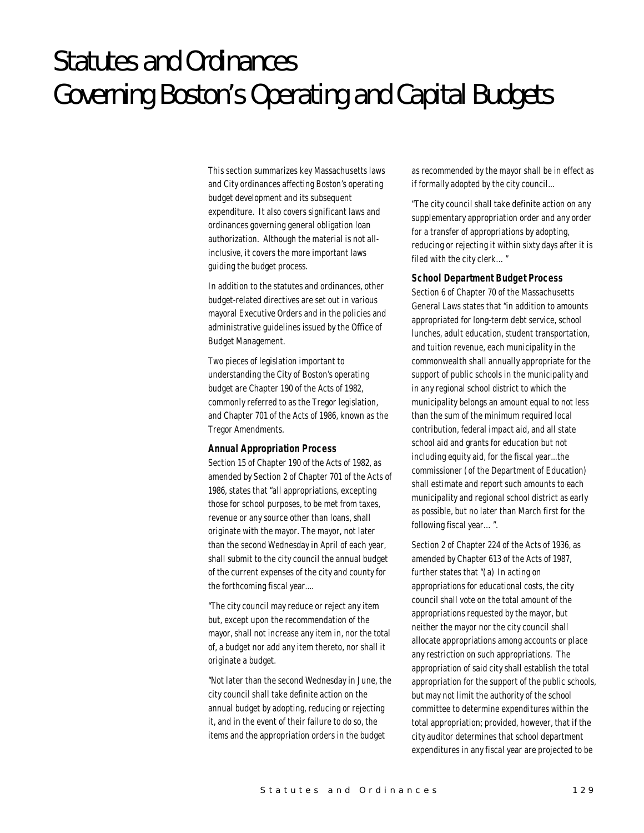# Statutes and Ordinances Governing Boston's Operating and Capital Budgets

This section summarizes key Massachusetts laws and City ordinances affecting Boston's operating budget development and its subsequent expenditure. It also covers significant laws and ordinances governing general obligation loan authorization. Although the material is not allinclusive, it covers the more important laws guiding the budget process.

In addition to the statutes and ordinances, other budget-related directives are set out in various mayoral Executive Orders and in the policies and administrative guidelines issued by the Office of Budget Management.

Two pieces of legislation important to understanding the City of Boston's operating budget are Chapter 190 of the Acts of 1982, commonly referred to as the Tregor legislation, and Chapter 701 of the Acts of 1986, known as the Tregor Amendments.

#### *Annual Appropriation Process*

Section 15 of Chapter 190 of the Acts of 1982, as amended by Section 2 of Chapter 701 of the Acts of 1986, states that "all appropriations, excepting those for school purposes, to be met from taxes, revenue or any source other than loans, shall originate with the mayor. The mayor, not later than the second Wednesday in April of each year, shall submit to the city council the annual budget of the current expenses of the city and county for the forthcoming fiscal year....

"The city council may reduce or reject any item but, except upon the recommendation of the mayor, shall not increase any item in, nor the total of, a budget nor add any item thereto, nor shall it originate a budget.

"Not later than the second Wednesday in June, the city council shall take definite action on the annual budget by adopting, reducing or rejecting it, and in the event of their failure to do so, the items and the appropriation orders in the budget

as recommended by the mayor shall be in effect as if formally adopted by the city council...

"The city council shall take definite action on any supplementary appropriation order and any order for a transfer of appropriations by adopting, reducing or rejecting it within sixty days after it is filed with the city clerk…"

## *School Department Budget Process*

Section 6 of Chapter 70 of the Massachusetts General Laws states that "in addition to amounts appropriated for long-term debt service, school lunches, adult education, student transportation, and tuition revenue, each municipality in the commonwealth shall annually appropriate for the support of public schools in the municipality and in any regional school district to which the municipality belongs an amount equal to not less than the sum of the minimum required local contribution, federal impact aid, and all state school aid and grants for education but not including equity aid, for the fiscal year...the commissioner (of the Department of Education) shall estimate and report such amounts to each municipality and regional school district as early as possible, but no later than March first for the following fiscal year…".

Section 2 of Chapter 224 of the Acts of 1936, as amended by Chapter 613 of the Acts of 1987, further states that "(a) In acting on appropriations for educational costs, the city council shall vote on the total amount of the appropriations requested by the mayor, but neither the mayor nor the city council shall allocate appropriations among accounts or place any restriction on such appropriations. The appropriation of said city shall establish the total appropriation for the support of the public schools, but may not limit the authority of the school committee to determine expenditures within the total appropriation; provided, however, that if the city auditor determines that school department expenditures in any fiscal year are projected to be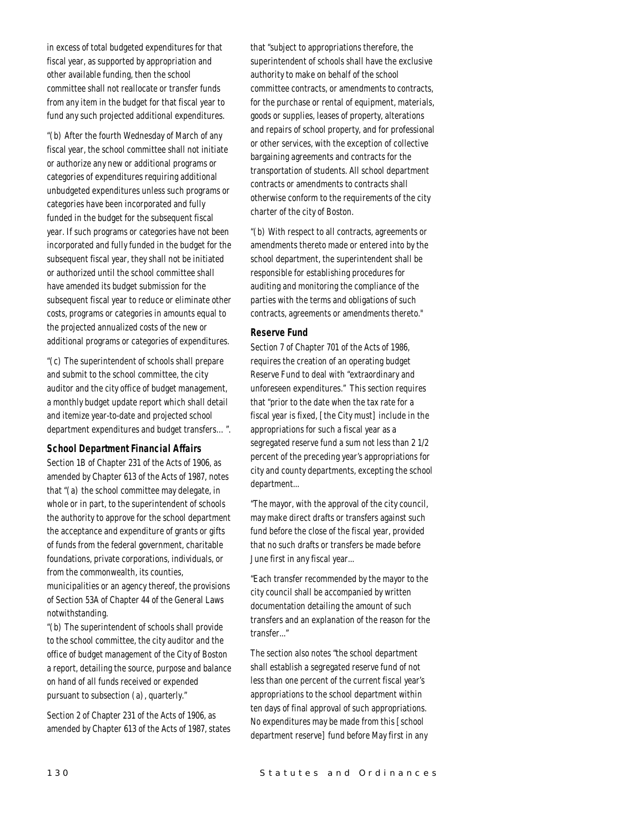in excess of total budgeted expenditures for that fiscal year, as supported by appropriation and other available funding, then the school committee shall not reallocate or transfer funds from any item in the budget for that fiscal year to fund any such projected additional expenditures.

"(b) After the fourth Wednesday of March of any fiscal year, the school committee shall not initiate or authorize any new or additional programs or categories of expenditures requiring additional unbudgeted expenditures unless such programs or categories have been incorporated and fully funded in the budget for the subsequent fiscal year. If such programs or categories have not been incorporated and fully funded in the budget for the subsequent fiscal year, they shall not be initiated or authorized until the school committee shall have amended its budget submission for the subsequent fiscal year to reduce or eliminate other costs, programs or categories in amounts equal to the projected annualized costs of the new or additional programs or categories of expenditures.

"(c) The superintendent of schools shall prepare and submit to the school committee, the city auditor and the city office of budget management, a monthly budget update report which shall detail and itemize year-to-date and projected school department expenditures and budget transfers…".

#### *School Department Financial Affairs*

Section 1B of Chapter 231 of the Acts of 1906, as amended by Chapter 613 of the Acts of 1987, notes that "(a) the school committee may delegate, in whole or in part, to the superintendent of schools the authority to approve for the school department the acceptance and expenditure of grants or gifts of funds from the federal government, charitable foundations, private corporations, individuals, or from the commonwealth, its counties, municipalities or an agency thereof, the provisions of Section 53A of Chapter 44 of the General Laws

notwithstanding. "(b) The superintendent of schools shall provide to the school committee, the city auditor and the office of budget management of the City of Boston a report, detailing the source, purpose and balance on hand of all funds received or expended

Section 2 of Chapter 231 of the Acts of 1906, as amended by Chapter 613 of the Acts of 1987, states

pursuant to subsection (a), quarterly."

that "subject to appropriations therefore, the superintendent of schools shall have the exclusive authority to make on behalf of the school committee contracts, or amendments to contracts, for the purchase or rental of equipment, materials, goods or supplies, leases of property, alterations and repairs of school property, and for professional or other services, with the exception of collective bargaining agreements and contracts for the transportation of students. All school department contracts or amendments to contracts shall otherwise conform to the requirements of the city charter of the city of Boston.

"(b) With respect to all contracts, agreements or amendments thereto made or entered into by the school department, the superintendent shall be responsible for establishing procedures for auditing and monitoring the compliance of the parties with the terms and obligations of such contracts, agreements or amendments thereto."

#### *Reserve Fund*

Section 7 of Chapter 701 of the Acts of 1986, requires the creation of an operating budget Reserve Fund to deal with "extraordinary and unforeseen expenditures." This section requires that "prior to the date when the tax rate for a fiscal year is fixed, [the City must] include in the appropriations for such a fiscal year as a segregated reserve fund a sum not less than 2 1/2 percent of the preceding year's appropriations for city and county departments, excepting the school department...

"The mayor, with the approval of the city council, may make direct drafts or transfers against such fund before the close of the fiscal year, provided that no such drafts or transfers be made before June first in any fiscal year...

"Each transfer recommended by the mayor to the city council shall be accompanied by written documentation detailing the amount of such transfers and an explanation of the reason for the transfer..."

The section also notes "the school department shall establish a segregated reserve fund of not less than one percent of the current fiscal year's appropriations to the school department within ten days of final approval of such appropriations. No expenditures may be made from this [school department reserve] fund before May first in any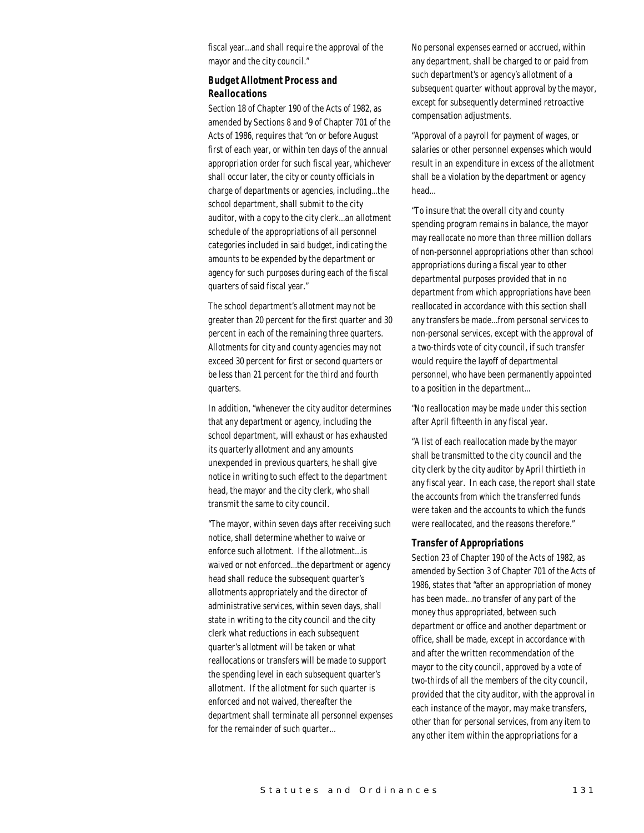fiscal year...and shall require the approval of the mayor and the city council."

## *Budget Allotment Process and Reallocations*

Section 18 of Chapter 190 of the Acts of 1982, as amended by Sections 8 and 9 of Chapter 701 of the Acts of 1986, requires that "on or before August first of each year, or within ten days of the annual appropriation order for such fiscal year, whichever shall occur later, the city or county officials in charge of departments or agencies, including...the school department, shall submit to the city auditor, with a copy to the city clerk...an allotment schedule of the appropriations of all personnel categories included in said budget, indicating the amounts to be expended by the department or agency for such purposes during each of the fiscal quarters of said fiscal year."

The school department's allotment may not be greater than 20 percent for the first quarter and 30 percent in each of the remaining three quarters. Allotments for city and county agencies may not exceed 30 percent for first or second quarters or be less than 21 percent for the third and fourth quarters.

In addition, "whenever the city auditor determines that any department or agency, including the school department, will exhaust or has exhausted its quarterly allotment and any amounts unexpended in previous quarters, he shall give notice in writing to such effect to the department head, the mayor and the city clerk, who shall transmit the same to city council.

"The mayor, within seven days after receiving such notice, shall determine whether to waive or enforce such allotment. If the allotment...is waived or not enforced...the department or agency head shall reduce the subsequent quarter's allotments appropriately and the director of administrative services, within seven days, shall state in writing to the city council and the city clerk what reductions in each subsequent quarter's allotment will be taken or what reallocations or transfers will be made to support the spending level in each subsequent quarter's allotment. If the allotment for such quarter is enforced and not waived, thereafter the department shall terminate all personnel expenses for the remainder of such quarter...

No personal expenses earned or accrued, within any department, shall be charged to or paid from such department's or agency's allotment of a subsequent quarter without approval by the mayor, except for subsequently determined retroactive compensation adjustments.

"Approval of a payroll for payment of wages, or salaries or other personnel expenses which would result in an expenditure in excess of the allotment shall be a violation by the department or agency head...

"To insure that the overall city and county spending program remains in balance, the mayor may reallocate no more than three million dollars of non-personnel appropriations other than school appropriations during a fiscal year to other departmental purposes provided that in no department from which appropriations have been reallocated in accordance with this section shall any transfers be made...from personal services to non-personal services, except with the approval of a two-thirds vote of city council, if such transfer would require the layoff of departmental personnel, who have been permanently appointed to a position in the department...

"No reallocation may be made under this section after April fifteenth in any fiscal year.

"A list of each reallocation made by the mayor shall be transmitted to the city council and the city clerk by the city auditor by April thirtieth in any fiscal year. In each case, the report shall state the accounts from which the transferred funds were taken and the accounts to which the funds were reallocated, and the reasons therefore."

## *Transfer of Appropriations*

Section 23 of Chapter 190 of the Acts of 1982, as amended by Section 3 of Chapter 701 of the Acts of 1986, states that "after an appropriation of money has been made...no transfer of any part of the money thus appropriated, between such department or office and another department or office, shall be made, except in accordance with and after the written recommendation of the mayor to the city council, approved by a vote of two-thirds of all the members of the city council, provided that the city auditor, with the approval in each instance of the mayor, may make transfers, other than for personal services, from any item to any other item within the appropriations for a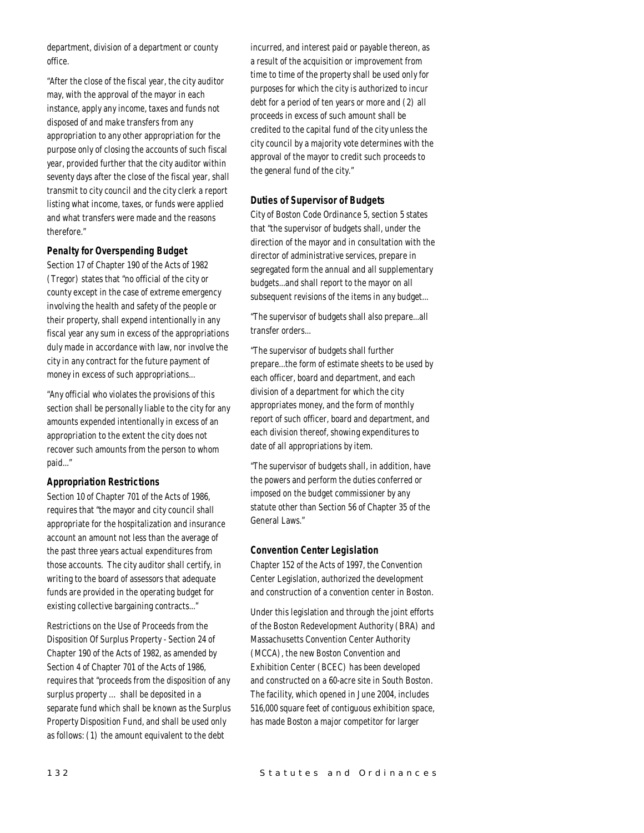department, division of a department or county office.

"After the close of the fiscal year, the city auditor may, with the approval of the mayor in each instance, apply any income, taxes and funds not disposed of and make transfers from any appropriation to any other appropriation for the purpose only of closing the accounts of such fiscal year, provided further that the city auditor within seventy days after the close of the fiscal year, shall transmit to city council and the city clerk a report listing what income, taxes, or funds were applied and what transfers were made and the reasons therefore."

## *Penalty for Overspending Budget*

Section 17 of Chapter 190 of the Acts of 1982 (Tregor) states that "no official of the city or county except in the case of extreme emergency involving the health and safety of the people or their property, shall expend intentionally in any fiscal year any sum in excess of the appropriations duly made in accordance with law, nor involve the city in any contract for the future payment of money in excess of such appropriations...

"Any official who violates the provisions of this section shall be personally liable to the city for any amounts expended intentionally in excess of an appropriation to the extent the city does not recover such amounts from the person to whom paid..."

## *Appropriation Restrictions*

Section 10 of Chapter 701 of the Acts of 1986, requires that "the mayor and city council shall appropriate for the hospitalization and insurance account an amount not less than the average of the past three years actual expenditures from those accounts. The city auditor shall certify, in writing to the board of assessors that adequate funds are provided in the operating budget for existing collective bargaining contracts..."

Restrictions on the Use of Proceeds from the Disposition Of Surplus Property - Section 24 of Chapter 190 of the Acts of 1982, as amended by Section 4 of Chapter 701 of the Acts of 1986, requires that "proceeds from the disposition of any surplus property … shall be deposited in a separate fund which shall be known as the Surplus Property Disposition Fund, and shall be used only as follows: (1) the amount equivalent to the debt

incurred, and interest paid or payable thereon, as a result of the acquisition or improvement from time to time of the property shall be used only for purposes for which the city is authorized to incur debt for a period of ten years or more and (2) all proceeds in excess of such amount shall be credited to the capital fund of the city unless the city council by a majority vote determines with the approval of the mayor to credit such proceeds to the general fund of the city."

## *Duties of Supervisor of Budgets*

City of Boston Code Ordinance 5, section 5 states that "the supervisor of budgets shall, under the direction of the mayor and in consultation with the director of administrative services, prepare in segregated form the annual and all supplementary budgets...and shall report to the mayor on all subsequent revisions of the items in any budget...

"The supervisor of budgets shall also prepare...all transfer orders...

"The supervisor of budgets shall further prepare...the form of estimate sheets to be used by each officer, board and department, and each division of a department for which the city appropriates money, and the form of monthly report of such officer, board and department, and each division thereof, showing expenditures to date of all appropriations by item.

"The supervisor of budgets shall, in addition, have the powers and perform the duties conferred or imposed on the budget commissioner by any statute other than Section 56 of Chapter 35 of the General Laws."

#### *Convention Center Legislation*

Chapter 152 of the Acts of 1997, the Convention Center Legislation, authorized the development and construction of a convention center in Boston.

Under this legislation and through the joint efforts of the Boston Redevelopment Authority (BRA) and Massachusetts Convention Center Authority (MCCA), the new Boston Convention and Exhibition Center (BCEC) has been developed and constructed on a 60-acre site in South Boston. The facility, which opened in June 2004, includes 516,000 square feet of contiguous exhibition space, has made Boston a major competitor for larger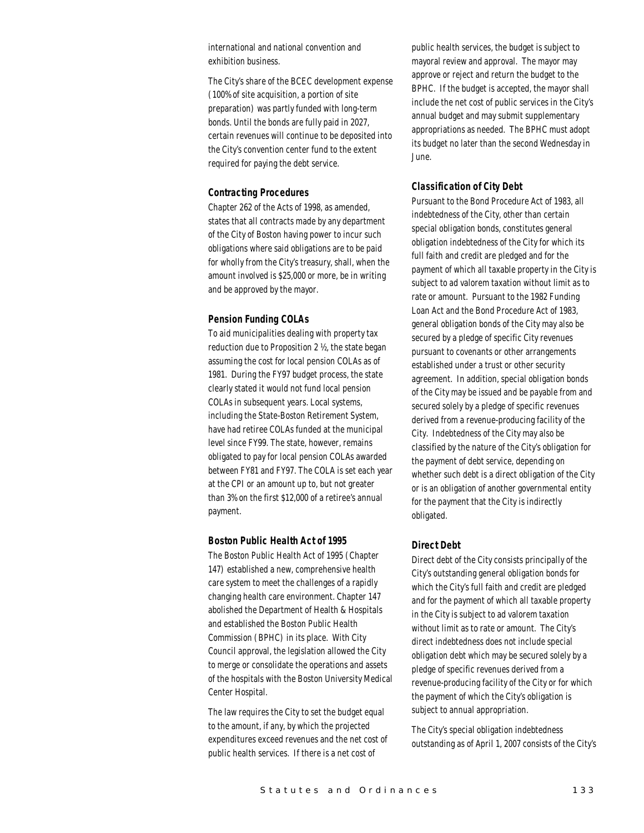international and national convention and exhibition business.

The City's share of the BCEC development expense (100% of site acquisition, a portion of site preparation) was partly funded with long-term bonds. Until the bonds are fully paid in 2027, certain revenues will continue to be deposited into the City's convention center fund to the extent required for paying the debt service.

#### *Contracting Procedures*

Chapter 262 of the Acts of 1998, as amended, states that all contracts made by any department of the City of Boston having power to incur such obligations where said obligations are to be paid for wholly from the City's treasury, shall, when the amount involved is \$25,000 or more, be in writing and be approved by the mayor.

#### *Pension Funding COLAs*

To aid municipalities dealing with property tax reduction due to Proposition 2 ½, the state began assuming the cost for local pension COLAs as of 1981. During the FY97 budget process, the state clearly stated it would not fund local pension COLAs in subsequent years. Local systems, including the State-Boston Retirement System, have had retiree COLAs funded at the municipal level since FY99. The state, however, remains obligated to pay for local pension COLAs awarded between FY81 and FY97. The COLA is set each year at the CPI or an amount up to, but not greater than 3% on the first \$12,000 of a retiree's annual payment.

#### *Boston Public Health Act of 1995*

The Boston Public Health Act of 1995 (Chapter 147) established a new, comprehensive health care system to meet the challenges of a rapidly changing health care environment. Chapter 147 abolished the Department of Health & Hospitals and established the Boston Public Health Commission (BPHC) in its place. With City Council approval, the legislation allowed the City to merge or consolidate the operations and assets of the hospitals with the Boston University Medical Center Hospital.

The law requires the City to set the budget equal to the amount, if any, by which the projected expenditures exceed revenues and the net cost of public health services. If there is a net cost of

public health services, the budget is subject to mayoral review and approval. The mayor may approve or reject and return the budget to the BPHC. If the budget is accepted, the mayor shall include the net cost of public services in the City's annual budget and may submit supplementary appropriations as needed. The BPHC must adopt its budget no later than the second Wednesday in June.

## *Classification of City Debt*

Pursuant to the Bond Procedure Act of 1983, all indebtedness of the City, other than certain special obligation bonds, constitutes general obligation indebtedness of the City for which its full faith and credit are pledged and for the payment of which all taxable property in the City is subject to ad valorem taxation without limit as to rate or amount. Pursuant to the 1982 Funding Loan Act and the Bond Procedure Act of 1983, general obligation bonds of the City may also be secured by a pledge of specific City revenues pursuant to covenants or other arrangements established under a trust or other security agreement. In addition, special obligation bonds of the City may be issued and be payable from and secured solely by a pledge of specific revenues derived from a revenue-producing facility of the City. Indebtedness of the City may also be classified by the nature of the City's obligation for the payment of debt service, depending on whether such debt is a direct obligation of the City or is an obligation of another governmental entity for the payment that the City is indirectly obligated.

## *Direct Debt*

Direct debt of the City consists principally of the City's outstanding general obligation bonds for which the City's full faith and credit are pledged and for the payment of which all taxable property in the City is subject to ad valorem taxation without limit as to rate or amount. The City's direct indebtedness does not include special obligation debt which may be secured solely by a pledge of specific revenues derived from a revenue-producing facility of the City or for which the payment of which the City's obligation is subject to annual appropriation.

The City's special obligation indebtedness outstanding as of April 1, 2007 consists of the City's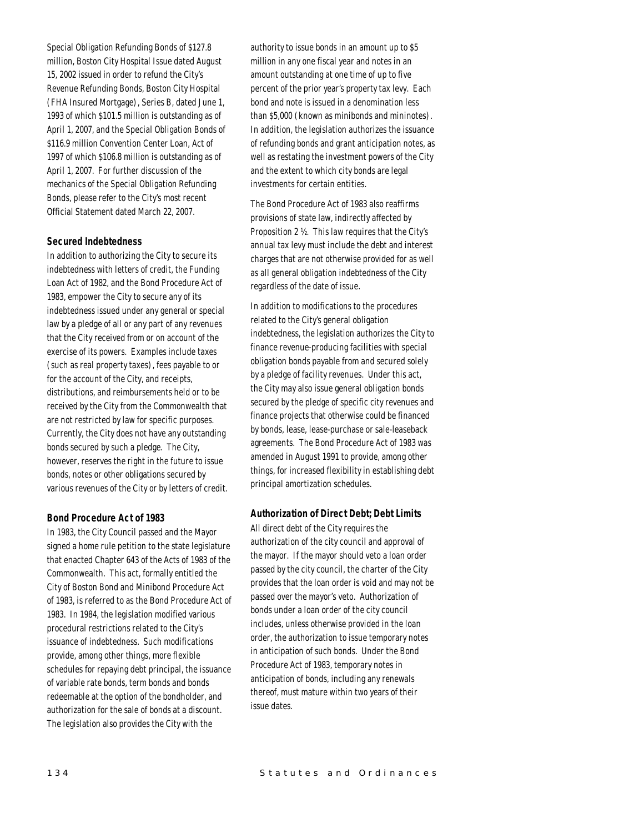Special Obligation Refunding Bonds of \$127.8 million, Boston City Hospital Issue dated August 15, 2002 issued in order to refund the City's Revenue Refunding Bonds, Boston City Hospital (FHA Insured Mortgage), Series B, dated June 1, 1993 of which \$101.5 million is outstanding as of April 1, 2007, and the Special Obligation Bonds of \$116.9 million Convention Center Loan, Act of 1997 of which \$106.8 million is outstanding as of April 1, 2007. For further discussion of the mechanics of the Special Obligation Refunding Bonds, please refer to the City's most recent Official Statement dated March 22, 2007.

## *Secured Indebtedness*

In addition to authorizing the City to secure its indebtedness with letters of credit, the Funding Loan Act of 1982, and the Bond Procedure Act of 1983, empower the City to secure any of its indebtedness issued under any general or special law by a pledge of all or any part of any revenues that the City received from or on account of the exercise of its powers. Examples include taxes (such as real property taxes), fees payable to or for the account of the City, and receipts, distributions, and reimbursements held or to be received by the City from the Commonwealth that are not restricted by law for specific purposes. Currently, the City does not have any outstanding bonds secured by such a pledge. The City, however, reserves the right in the future to issue bonds, notes or other obligations secured by various revenues of the City or by letters of credit.

## *Bond Procedure Act of 1983*

In 1983, the City Council passed and the Mayor signed a home rule petition to the state legislature that enacted Chapter 643 of the Acts of 1983 of the Commonwealth. This act, formally entitled the City of Boston Bond and Minibond Procedure Act of 1983, is referred to as the Bond Procedure Act of 1983. In 1984, the legislation modified various procedural restrictions related to the City's issuance of indebtedness. Such modifications provide, among other things, more flexible schedules for repaying debt principal, the issuance of variable rate bonds, term bonds and bonds redeemable at the option of the bondholder, and authorization for the sale of bonds at a discount. The legislation also provides the City with the

authority to issue bonds in an amount up to \$5 million in any one fiscal year and notes in an amount outstanding at one time of up to five percent of the prior year's property tax levy. Each bond and note is issued in a denomination less than \$5,000 (known as minibonds and mininotes). In addition, the legislation authorizes the issuance of refunding bonds and grant anticipation notes, as well as restating the investment powers of the City and the extent to which city bonds are legal investments for certain entities.

The Bond Procedure Act of 1983 also reaffirms provisions of state law, indirectly affected by Proposition 2 ½. This law requires that the City's annual tax levy must include the debt and interest charges that are not otherwise provided for as well as all general obligation indebtedness of the City regardless of the date of issue.

In addition to modifications to the procedures related to the City's general obligation indebtedness, the legislation authorizes the City to finance revenue-producing facilities with special obligation bonds payable from and secured solely by a pledge of facility revenues. Under this act, the City may also issue general obligation bonds secured by the pledge of specific city revenues and finance projects that otherwise could be financed by bonds, lease, lease-purchase or sale-leaseback agreements. The Bond Procedure Act of 1983 was amended in August 1991 to provide, among other things, for increased flexibility in establishing debt principal amortization schedules.

#### *Authorization of Direct Debt; Debt Limits*

All direct debt of the City requires the authorization of the city council and approval of the mayor. If the mayor should veto a loan order passed by the city council, the charter of the City provides that the loan order is void and may not be passed over the mayor's veto. Authorization of bonds under a loan order of the city council includes, unless otherwise provided in the loan order, the authorization to issue temporary notes in anticipation of such bonds. Under the Bond Procedure Act of 1983, temporary notes in anticipation of bonds, including any renewals thereof, must mature within two years of their issue dates.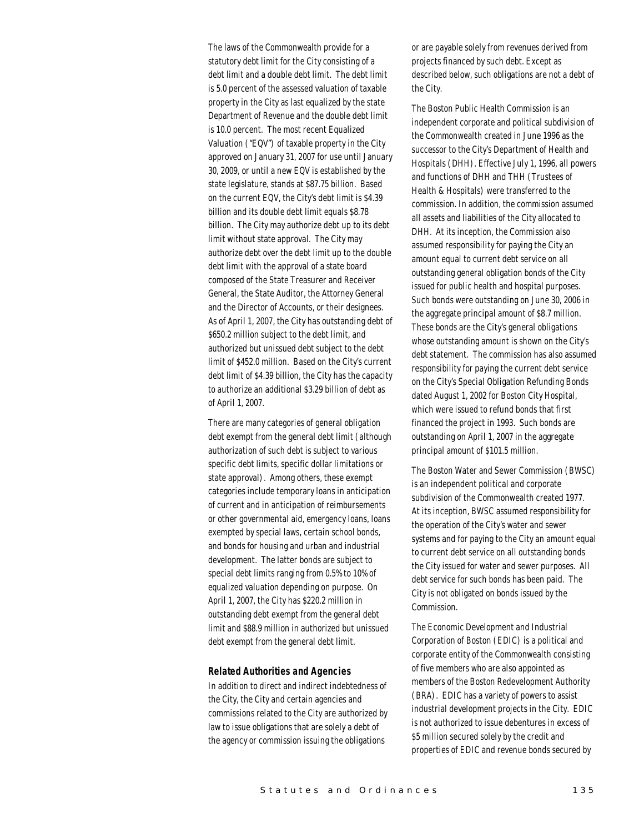The laws of the Commonwealth provide for a statutory debt limit for the City consisting of a debt limit and a double debt limit. The debt limit is 5.0 percent of the assessed valuation of taxable property in the City as last equalized by the state Department of Revenue and the double debt limit is 10.0 percent. The most recent Equalized Valuation ("EQV") of taxable property in the City approved on January 31, 2007 for use until January 30, 2009, or until a new EQV is established by the state legislature, stands at \$87.75 billion. Based on the current EQV, the City's debt limit is \$4.39 billion and its double debt limit equals \$8.78 billion. The City may authorize debt up to its debt limit without state approval. The City may authorize debt over the debt limit up to the double debt limit with the approval of a state board composed of the State Treasurer and Receiver General, the State Auditor, the Attorney General and the Director of Accounts, or their designees. As of April 1, 2007, the City has outstanding debt of \$650.2 million subject to the debt limit, and authorized but unissued debt subject to the debt limit of \$452.0 million. Based on the City's current debt limit of \$4.39 billion, the City has the capacity to authorize an additional \$3.29 billion of debt as of April 1, 2007.

There are many categories of general obligation debt exempt from the general debt limit (although authorization of such debt is subject to various specific debt limits, specific dollar limitations or state approval). Among others, these exempt categories include temporary loans in anticipation of current and in anticipation of reimbursements or other governmental aid, emergency loans, loans exempted by special laws, certain school bonds, and bonds for housing and urban and industrial development. The latter bonds are subject to special debt limits ranging from 0.5% to 10% of equalized valuation depending on purpose. On April 1, 2007, the City has \$220.2 million in outstanding debt exempt from the general debt limit and \$88.9 million in authorized but unissued debt exempt from the general debt limit.

#### *Related Authorities and Agencies*

In addition to direct and indirect indebtedness of the City, the City and certain agencies and commissions related to the City are authorized by law to issue obligations that are solely a debt of the agency or commission issuing the obligations

or are payable solely from revenues derived from projects financed by such debt. Except as described below, such obligations are not a debt of the City.

The Boston Public Health Commission is an independent corporate and political subdivision of the Commonwealth created in June 1996 as the successor to the City's Department of Health and Hospitals (DHH). Effective July 1, 1996, all powers and functions of DHH and THH (Trustees of Health & Hospitals) were transferred to the commission. In addition, the commission assumed all assets and liabilities of the City allocated to DHH. At its inception, the Commission also assumed responsibility for paying the City an amount equal to current debt service on all outstanding general obligation bonds of the City issued for public health and hospital purposes. Such bonds were outstanding on June 30, 2006 in the aggregate principal amount of \$8.7 million. These bonds are the City's general obligations whose outstanding amount is shown on the City's debt statement. The commission has also assumed responsibility for paying the current debt service on the City's Special Obligation Refunding Bonds dated August 1, 2002 for Boston City Hospital, which were issued to refund bonds that first financed the project in 1993. Such bonds are outstanding on April 1, 2007 in the aggregate principal amount of \$101.5 million.

The Boston Water and Sewer Commission (BWSC) is an independent political and corporate subdivision of the Commonwealth created 1977. At its inception, BWSC assumed responsibility for the operation of the City's water and sewer systems and for paying to the City an amount equal to current debt service on all outstanding bonds the City issued for water and sewer purposes. All debt service for such bonds has been paid. The City is not obligated on bonds issued by the Commission.

The Economic Development and Industrial Corporation of Boston (EDIC) is a political and corporate entity of the Commonwealth consisting of five members who are also appointed as members of the Boston Redevelopment Authority (BRA). EDIC has a variety of powers to assist industrial development projects in the City. EDIC is not authorized to issue debentures in excess of \$5 million secured solely by the credit and properties of EDIC and revenue bonds secured by